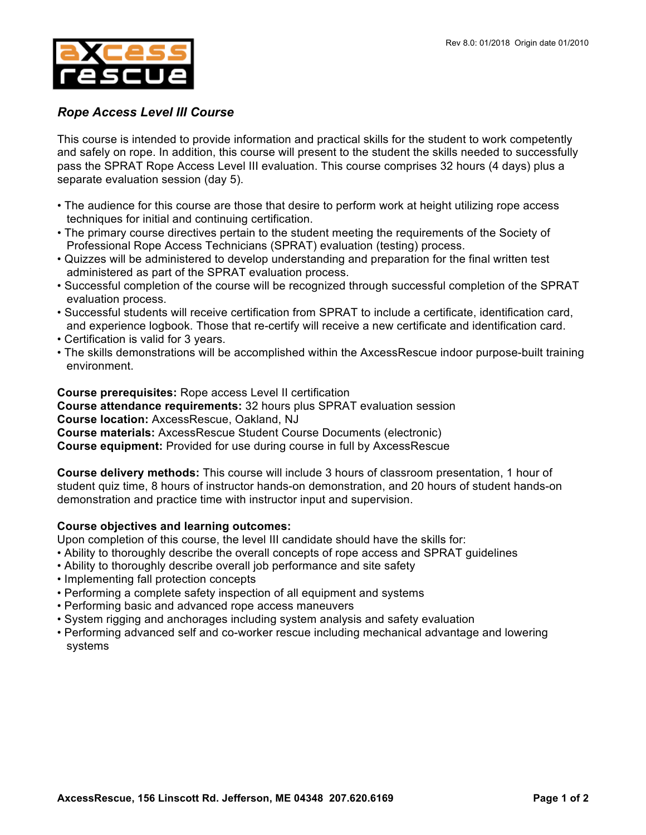

## *Rope Access Level III Course*

This course is intended to provide information and practical skills for the student to work competently and safely on rope. In addition, this course will present to the student the skills needed to successfully pass the SPRAT Rope Access Level III evaluation. This course comprises 32 hours (4 days) plus a separate evaluation session (day 5).

- The audience for this course are those that desire to perform work at height utilizing rope access techniques for initial and continuing certification.
- The primary course directives pertain to the student meeting the requirements of the Society of Professional Rope Access Technicians (SPRAT) evaluation (testing) process.
- Quizzes will be administered to develop understanding and preparation for the final written test administered as part of the SPRAT evaluation process.
- Successful completion of the course will be recognized through successful completion of the SPRAT evaluation process.
- Successful students will receive certification from SPRAT to include a certificate, identification card, and experience logbook. Those that re-certify will receive a new certificate and identification card.
- Certification is valid for 3 years.
- The skills demonstrations will be accomplished within the AxcessRescue indoor purpose-built training environment.

**Course prerequisites:** Rope access Level II certification **Course attendance requirements:** 32 hours plus SPRAT evaluation session **Course location:** AxcessRescue, Oakland, NJ **Course materials:** AxcessRescue Student Course Documents (electronic) **Course equipment:** Provided for use during course in full by AxcessRescue

**Course delivery methods:** This course will include 3 hours of classroom presentation, 1 hour of student quiz time, 8 hours of instructor hands-on demonstration, and 20 hours of student hands-on demonstration and practice time with instructor input and supervision.

## **Course objectives and learning outcomes:**

Upon completion of this course, the level III candidate should have the skills for:

- Ability to thoroughly describe the overall concepts of rope access and SPRAT guidelines
- Ability to thoroughly describe overall job performance and site safety
- Implementing fall protection concepts
- Performing a complete safety inspection of all equipment and systems
- Performing basic and advanced rope access maneuvers
- System rigging and anchorages including system analysis and safety evaluation
- Performing advanced self and co-worker rescue including mechanical advantage and lowering systems